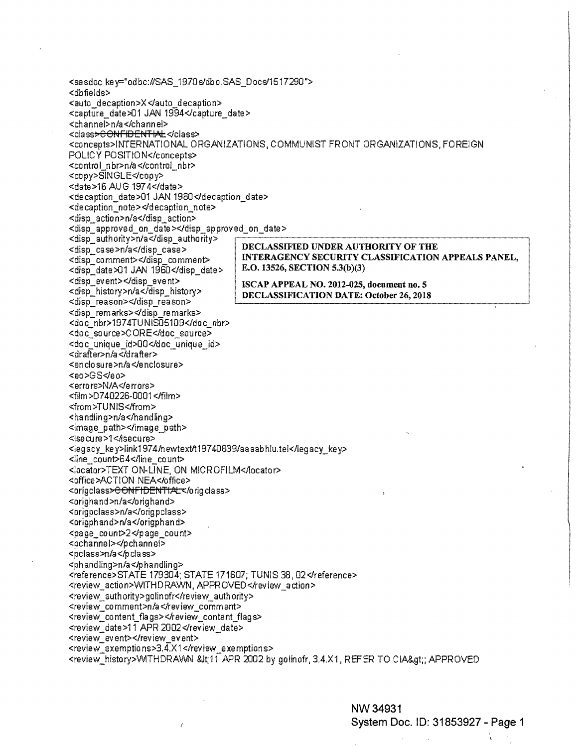<sasdoc key="odbc:#SAS\_1970s/dbo.SAS\_Docs/1517290"> <dbfields> <auto\_decaption>X</auto\_decaption> <capture\_date>01 JAN 1994</capture\_date> <channel>n/a</channel> <class<del>>CONFIDENTIAL</del></class> <concepts>INTERNATIONAL ORGANIZATIONS, COMMUNIST FRONT ORGANIZATIONS, FOREIGN POLICY POSITION</concepts> <control\_nbr>n/a</control\_nbr> <copy>SINGLE</copy> <date>16 AUG 1974</date> <decaption date>01 JAN 1960</decaption date> <decaption\_note></decaption\_note> <disp\_action>n/a</disp\_action> <disp\_approved\_on\_date></disp\_approved\_on\_date> <disp\_authority>n/a</disp\_authority> DECLASSIFIED UNDER AUTHORITY OF THE <disp\_case>n/a</disp\_case> INTERAGENCY SECURITY CLASSIFICATION APPEALS PANEL, <disp\_comment></disp\_comment> E.O. 13526, SECTION 5.3(b)(3) <disp\_date>01 JAN 1960</disp\_date> <disp\_event></disp\_event> ISCAP APPEAL NO. 2012-025, document no. 5 <disp history>n/a</disp history> DECLASSIFICATION DATE: October 26, 2018 <disp\_reason></disp\_reason> <disp remarks></disp remarks> <doc\_nbr>1974TUNIS05109</doc\_nbr> <doc\_source>CORE</doc\_source> <doc\_unique\_id>00</doc\_unique\_id> <drafter>n/a</drafter> <enclosure>n/a</enclosure> <eo>GS</eo> <errors>N/A</errors> <film>D740226-0001</film> <from>TUNIS</from> <handling>n/a</handling> <image\_path></image\_path> <isecure>1</isecure> <legacy\_key>link1974/newtext/t19740839/aaaabhlu.tel</legacy\_key> <line\_count>64</line\_count> <locator>TEXT ON-LINE, ON MICROFILM</locator> <office>ACTION NEA</office> <origclass<del>>CONFIDENTIAL</del></origclass> <orighand>n/a</orighand> <origpclass>n/a</origpclass> <origphand>n/a</origphand> <page\_count>2</page\_count> <pchannel></pchannel> <pclass>n/a</pclass> <phandling>n/a</phandling> <reference>STATE 179304; STATE 171607; TUNIS 38, 02</reference> <review\_action>WITHDRAWN, APPROVED</review\_action> <review\_authority>golinofr</review\_authority> <review\_comment>n/a</review\_comment> <review\_content\_flags></review\_content\_flags> <review\_date>11 APR 2002</review\_date> <review\_event></review\_event> <review\_exemptions>3.4.X1</review\_exemptions> <review\_history>WITHDRAWN &lt;11 APR 2002 by golinofr, 3.4.X1, REFER TO CIA&gt;; APPROVED

.<br>K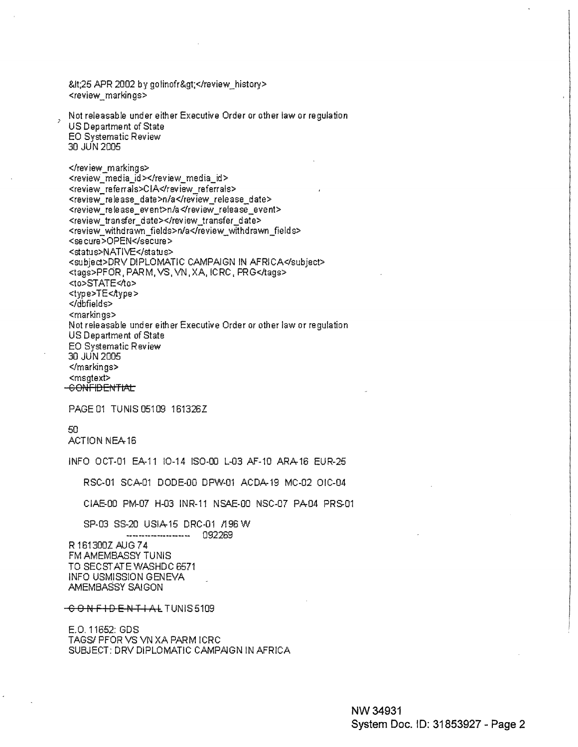<25 APR 2002 by golinofr&gt;</review\_history> <review markings>

Not releasable under either Executive Order or other law or regulation US Department of State **EO Systematic Review** 30 JUN 2005

</review\_markings> <review\_media\_id></review\_media\_id> <review referrals>CIA</review referrals> <review\_release\_date>n/a</review\_release\_date> <review\_release\_event>n/a</review\_release\_event> <review transfer date></review transfer date> <review\_withdrawn\_fields>n/a</review\_withdrawn\_fields> <secure>OPEN</secure> <status>NATIVE</status> <subject>DRV DIPLOMATIC CAMPAIGN IN AFRICA</subject> <tags>PFOR, PARM, VS, VN, XA, ICRC, PRG</tags> <to>STATE<⁄to> <type>TE<Aype> </dbfields> <markings> Not releasable under either Executive Order or other law or regulation US Department of State EO Systematic Review 30 JUN 2005 </markings> <msgtext> -CONFIDENTIAL

PAGE 01 TUNIS 05109 161326Z

50. ACTION NEA-16

INFO OCT-01 EA-11 IO-14 ISO-00 L-03 AF-10 ARA-16 EUR-25

RSC-01 SCA-01 DODE-00 DPW-01 ACDA-19 MC-02 OIC-04

CIAE-00 PM-07 H-03 INR-11 NSAE-00 NSC-07 PA-04 PRS-01

SP-03 SS-20 USIA-15 DRC-01 /196 W ----------------- 092269

R 161300Z AUG 74 FM AMEMBASSY TUNIS TO SECSTATE WASHDC 6571 INFO USMISSION GENEVA AMEMBASSY SAIGON

CONFIDENTIAL TUNIS5109

E.O. 11652: GDS TAGS/ PFOR VS VN XA PARM ICRC SUBJECT: DRV DIPLOMATIC CAMPAIGN IN AFRICA